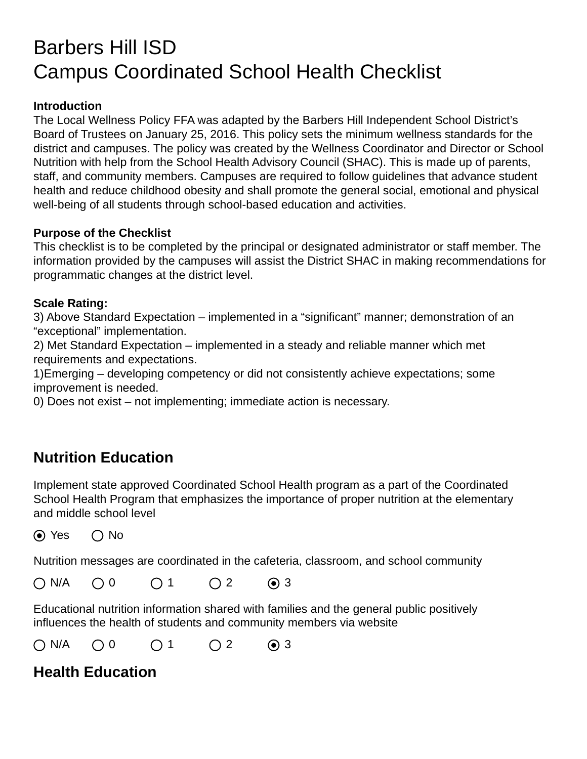# Barbers Hill ISD Campus Coordinated School Health Checklist

#### **Introduction**

The Local Wellness Policy FFA was adapted by the Barbers Hill Independent School District's Board of Trustees on January 25, 2016. This policy sets the minimum wellness standards for the district and campuses. The policy was created by the Wellness Coordinator and Director or School Nutrition with help from the School Health Advisory Council (SHAC). This is made up of parents, staff, and community members. Campuses are required to follow guidelines that advance student health and reduce childhood obesity and shall promote the general social, emotional and physical well-being of all students through school-based education and activities.

#### **Purpose of the Checklist**

This checklist is to be completed by the principal or designated administrator or staff member. The information provided by the campuses will assist the District SHAC in making recommendations for programmatic changes at the district level.

#### **Scale Rating:**

3) Above Standard Expectation – implemented in a "significant" manner; demonstration of an "exceptional" implementation.

2) Met Standard Expectation – implemented in a steady and reliable manner which met requirements and expectations.

1)Emerging – developing competency or did not consistently achieve expectations; some improvement is needed.

0) Does not exist – not implementing; immediate action is necessary.

### **Nutrition Education**

Implement state approved Coordinated School Health program as a part of the Coordinated School Health Program that emphasizes the importance of proper nutrition at the elementary and middle school level

 $\odot$  Yes  $\odot$  No

Nutrition messages are coordinated in the cafeteria, classroom, and school community

N/A 0 1 2 3

Educational nutrition information shared with families and the general public positively influences the health of students and community members via website

N/A 0 1 2 3

# **Health Education**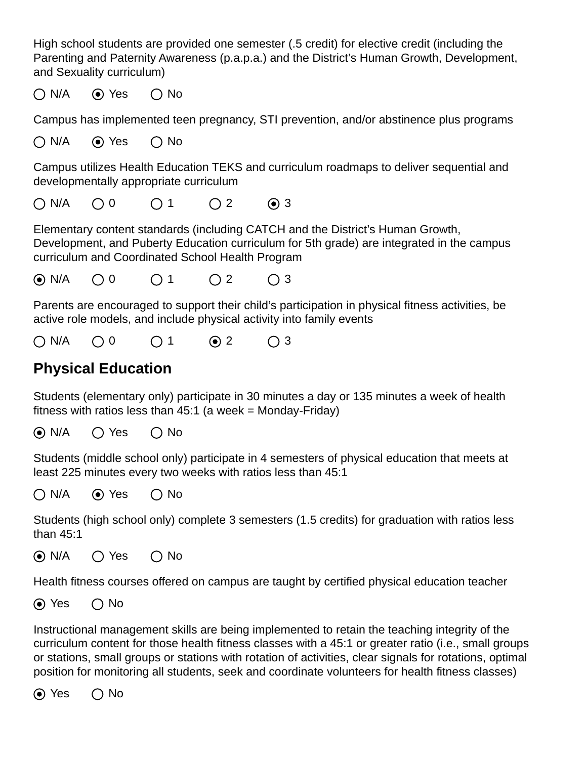High school students are provided one semester (.5 credit) for elective credit (including the Parenting and Paternity Awareness (p.a.p.a.) and the District's Human Growth, Development, and Sexuality curriculum)

 $\bigcap N/A$   $\bigcirc$  Yes  $\bigcirc$  No

Campus has implemented teen pregnancy, STI prevention, and/or abstinence plus programs

 $\bigcap N/A$   $\bigcirc$  Yes  $\bigcirc$  No

Campus utilizes Health Education TEKS and curriculum roadmaps to deliver sequential and developmentally appropriate curriculum

 $\bigcap N/A$   $\bigcap$  0  $\bigcap$  1  $\bigcap$  2  $\bigcap$  3

Elementary content standards (including CATCH and the District's Human Growth, Development, and Puberty Education curriculum for 5th grade) are integrated in the campus curriculum and Coordinated School Health Program

N/A 0 1 2 3

Parents are encouraged to support their child's participation in physical fitness activities, be active role models, and include physical activity into family events

N/A 0 1 2 3

# **Physical Education**

Students (elementary only) participate in 30 minutes a day or 135 minutes a week of health fitness with ratios less than  $45:1$  (a week = Monday-Friday)

 $\odot$  N/A  $\odot$  Yes  $\odot$  No

Students (middle school only) participate in 4 semesters of physical education that meets at least 225 minutes every two weeks with ratios less than 45:1

 $\bigcap N/A$   $\bigcirc$  Yes  $\bigcirc$  No

Students (high school only) complete 3 semesters (1.5 credits) for graduation with ratios less than 45:1

```
\odot N/A \odot Yes \odot No
```
Health fitness courses offered on campus are taught by certified physical education teacher

 $\odot$  Yes  $\odot$  No

Instructional management skills are being implemented to retain the teaching integrity of the curriculum content for those health fitness classes with a 45:1 or greater ratio (i.e., small groups or stations, small groups or stations with rotation of activities, clear signals for rotations, optimal position for monitoring all students, seek and coordinate volunteers for health fitness classes)

 $\odot$  Yes  $\odot$  No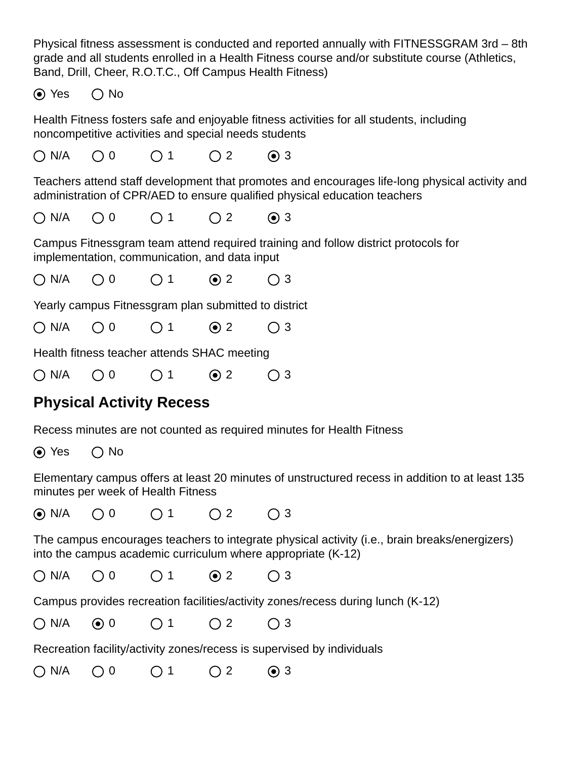Physical fitness assessment is conducted and reported annually with FITNESSGRAM 3rd – 8th grade and all students enrolled in a Health Fitness course and/or substitute course (Athletics, Band, Drill, Cheer, R.O.T.C., Off Campus Health Fitness)

 $\odot$  Yes  $\odot$  No

Health Fitness fosters safe and enjoyable fitness activities for all students, including noncompetitive activities and special needs students

N/A 0 1 2 3

Teachers attend staff development that promotes and encourages life-long physical activity and administration of CPR/AED to ensure qualified physical education teachers

N/A 0 1 2 3

Campus Fitnessgram team attend required training and follow district protocols for implementation, communication, and data input

N/A 0 1 2 3

Yearly campus Fitnessgram plan submitted to district

N/A 0 1 2 3

Health fitness teacher attends SHAC meeting

 $\bigcap N/A$   $\bigcap$  0  $\bigcap$  1  $\bigcirc$  2  $\bigcap$  3

# **Physical Activity Recess**

Recess minutes are not counted as required minutes for Health Fitness

 $\odot$  Yes  $\odot$  No

Elementary campus offers at least 20 minutes of unstructured recess in addition to at least 135 minutes per week of Health Fitness

 $\bigcirc$  N/A  $\bigcirc$  0  $\bigcirc$  1  $\bigcirc$  2  $\bigcirc$  3

The campus encourages teachers to integrate physical activity (i.e., brain breaks/energizers) into the campus academic curriculum where appropriate (K-12)

N/A 0 1 2 3

Campus provides recreation facilities/activity zones/recess during lunch (K-12)

N/A 0 1 2 3

Recreation facility/activity zones/recess is supervised by individuals

N/A 0 1 2 3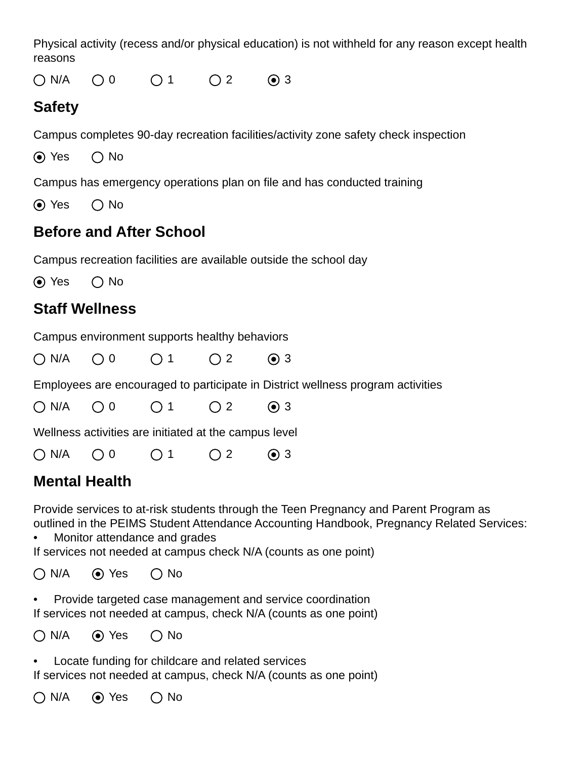Physical activity (recess and/or physical education) is not withheld for any reason except health reasons

 $ON/A$   $\bigcirc$  0  $\bigcirc$  1  $\bigcirc$  2  $\bigcirc$  3

# **Safety**

Campus completes 90-day recreation facilities/activity zone safety check inspection

 $\odot$  Yes  $\odot$  No

Campus has emergency operations plan on file and has conducted training

 $\odot$  Yes  $\odot$  No

# **Before and After School**

Campus recreation facilities are available outside the school day

 $\odot$  Yes  $\bigcap$  No

# **Staff Wellness**

Campus environment supports healthy behaviors

 $\bigcap N/A$   $\bigcap$  0  $\bigcap$  1  $\bigcap$  2  $\bigcirc$  3

Employees are encouraged to participate in District wellness program activities

N/A 0 1 2 3

Wellness activities are initiated at the campus level

N/A 0 1 2 3

# **Mental Health**

Provide services to at-risk students through the Teen Pregnancy and Parent Program as outlined in the PEIMS Student Attendance Accounting Handbook, Pregnancy Related Services:

• Monitor attendance and grades

If services not needed at campus check N/A (counts as one point)

 $\bigcap N/A$   $\bigcirc$  Yes  $\bigcirc$  No

• Provide targeted case management and service coordination If services not needed at campus, check N/A (counts as one point)

 $\bigcap N/A$   $\bigcirc$  Yes  $\bigcirc$  No

Locate funding for childcare and related services If services not needed at campus, check N/A (counts as one point)

 $\bigcap N/A$   $\bigcirc$  Yes  $\bigcap$  No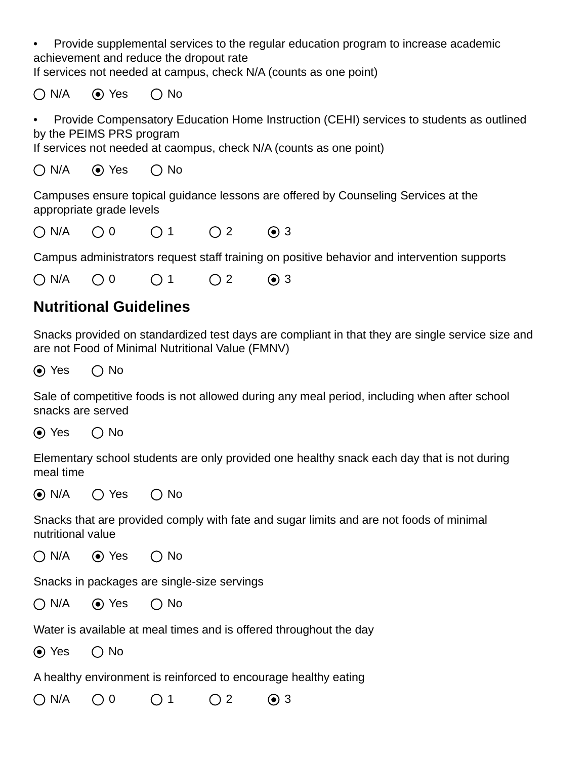• Provide supplemental services to the regular education program to increase academic achievement and reduce the dropout rate

If services not needed at campus, check N/A (counts as one point)

 $\bigcap N/A$   $\bigcirc$  Yes  $\bigcirc$  No

• Provide Compensatory Education Home Instruction (CEHI) services to students as outlined by the PEIMS PRS program

If services not needed at caompus, check N/A (counts as one point)

 $\bigcap N/A$   $\bigcirc$  Yes  $\bigcirc$  No

Campuses ensure topical guidance lessons are offered by Counseling Services at the appropriate grade levels

 $\bigcap N/A$   $\bigcap$  0  $\bigcap$  1  $\bigcap$  2  $\bigcirc$  3

Campus administrators request staff training on positive behavior and intervention supports

N/A 0 1 2 3

# **Nutritional Guidelines**

Snacks provided on standardized test days are compliant in that they are single service size and are not Food of Minimal Nutritional Value (FMNV)

 $\odot$  Yes  $\odot$  No

Sale of competitive foods is not allowed during any meal period, including when after school snacks are served

 $\odot$  Yes  $\odot$  No

Elementary school students are only provided one healthy snack each day that is not during meal time

 $\odot$  N/A  $\odot$  Yes  $\odot$  No

Snacks that are provided comply with fate and sugar limits and are not foods of minimal nutritional value

 $\bigcap N/A$  (expanding  $\bigcap N$ o

Snacks in packages are single-size servings

 $\bigcap N/A$   $\bigcirc$  Yes  $\bigcirc$  No

Water is available at meal times and is offered throughout the day

 $\odot$  Yes  $\odot$  No

A healthy environment is reinforced to encourage healthy eating

N/A 0 1 2 3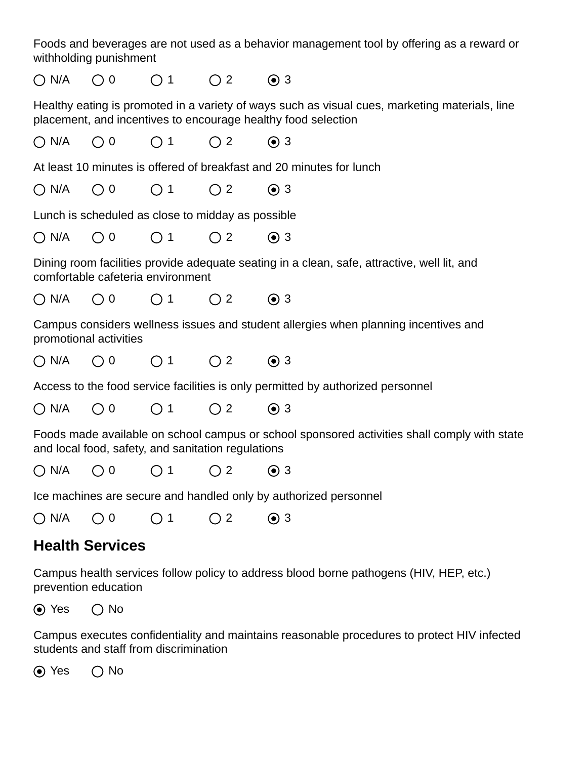Foods and beverages are not used as a behavior management tool by offering as a reward or withholding punishment

 $\bigcap N/A$   $\bigcap$  0  $\bigcap$  1  $\bigcap$  2  $\bigcirc$  3

Healthy eating is promoted in a variety of ways such as visual cues, marketing materials, line placement, and incentives to encourage healthy food selection

N/A 0 1 2 3

At least 10 minutes is offered of breakfast and 20 minutes for lunch

N/A 0 1 2 3

Lunch is scheduled as close to midday as possible

N/A 0 1 2 3

Dining room facilities provide adequate seating in a clean, safe, attractive, well lit, and comfortable cafeteria environment

N/A 0 1 2 3

Campus considers wellness issues and student allergies when planning incentives and promotional activities

 $\bigcap N/A$   $\bigcap$  0  $\bigcap$  1  $\bigcap$  2  $\bigcirc$  3

Access to the food service facilities is only permitted by authorized personnel

N/A 0 1 2 3

Foods made available on school campus or school sponsored activities shall comply with state and local food, safety, and sanitation regulations

N/A 0 1 2 3

Ice machines are secure and handled only by authorized personnel

N/A 0 1 2 3

### **Health Services**

Campus health services follow policy to address blood borne pathogens (HIV, HEP, etc.) prevention education

 $\odot$  Yes  $\odot$  No

Campus executes confidentiality and maintains reasonable procedures to protect HIV infected students and staff from discrimination

 $\odot$  Yes  $\odot$  No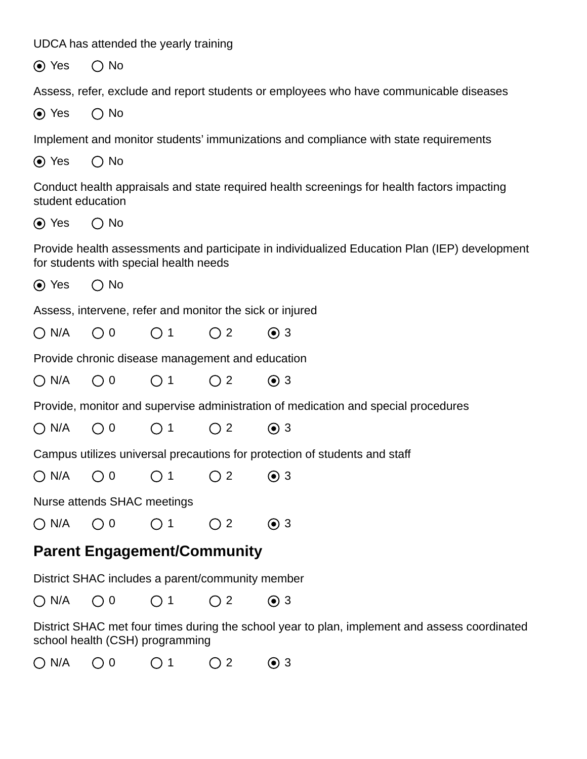UDCA has attended the yearly training

 $\odot$  Yes  $\odot$  No

Assess, refer, exclude and report students or employees who have communicable diseases

 $\odot$  Yes  $\odot$  No

Implement and monitor students' immunizations and compliance with state requirements

 $\odot$  Yes  $\odot$  No

Conduct health appraisals and state required health screenings for health factors impacting student education

 $\odot$  Yes  $\odot$  No

Provide health assessments and participate in individualized Education Plan (IEP) development for students with special health needs

 $\odot$  Yes  $\odot$  No

Assess, intervene, refer and monitor the sick or injured

 $\bigcap N/A$   $\bigcap 0$   $\bigcap 1$   $\bigcap 2$   $\bigcap 3$ 

Provide chronic disease management and education

N/A 0 1 2 3

Provide, monitor and supervise administration of medication and special procedures

N/A 0 1 2 3

Campus utilizes universal precautions for protection of students and staff

N/A 0 1 2 3

Nurse attends SHAC meetings

 $ON/A$  00 01 02 03

### **Parent Engagement/Community**

District SHAC includes a parent/community member

N/A 0 1 2 3

District SHAC met four times during the school year to plan, implement and assess coordinated school health (CSH) programming

N/A 0 1 2 3